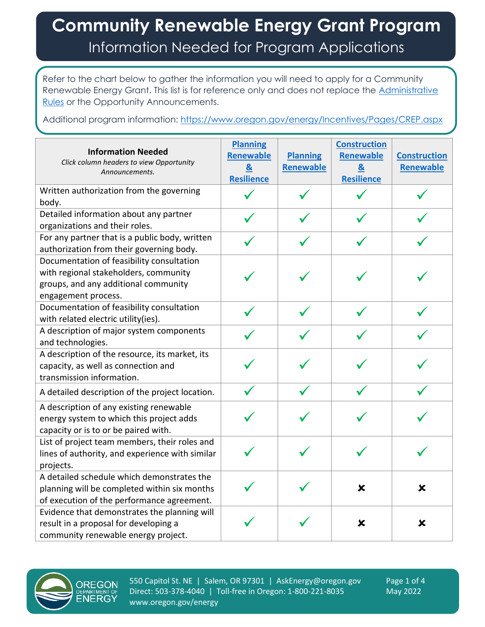## **Community Renewable Energy Grant Program** Information Needed for Program Applications

Refer to the chart below to gather the information you will need to apply for a Community Renewable Energy Grant. This list is for reference only and does not replace the [Administrative](https://secure.sos.state.or.us/oard/displayDivisionRules.action?selectedDivision=6901)  [Rules](https://secure.sos.state.or.us/oard/displayDivisionRules.action?selectedDivision=6901) or the Opportunity Announcements.

Additional program information:<https://www.oregon.gov/energy/Incentives/Pages/CREP.aspx>

| <b>Information Needed</b><br>Click column headers to view Opportunity<br>Announcements.                                                           | <b>Planning</b><br><b>Renewable</b><br>$\mathbf{g}$<br><b>Resilience</b> | <b>Planning</b><br><b>Renewable</b> | <b>Construction</b><br><b>Renewable</b><br>$\boldsymbol{\alpha}$<br><b>Resilience</b> | <b>Construction</b><br><b>Renewable</b> |
|---------------------------------------------------------------------------------------------------------------------------------------------------|--------------------------------------------------------------------------|-------------------------------------|---------------------------------------------------------------------------------------|-----------------------------------------|
| Written authorization from the governing<br>body.                                                                                                 |                                                                          |                                     |                                                                                       |                                         |
| Detailed information about any partner<br>organizations and their roles.                                                                          |                                                                          |                                     |                                                                                       |                                         |
| For any partner that is a public body, written<br>authorization from their governing body.                                                        |                                                                          |                                     |                                                                                       |                                         |
| Documentation of feasibility consultation<br>with regional stakeholders, community<br>groups, and any additional community<br>engagement process. |                                                                          |                                     |                                                                                       |                                         |
| Documentation of feasibility consultation<br>with related electric utility(ies).                                                                  |                                                                          |                                     |                                                                                       |                                         |
| A description of major system components<br>and technologies.                                                                                     |                                                                          |                                     |                                                                                       |                                         |
| A description of the resource, its market, its<br>capacity, as well as connection and<br>transmission information.                                |                                                                          |                                     |                                                                                       |                                         |
| A detailed description of the project location.                                                                                                   |                                                                          |                                     |                                                                                       |                                         |
| A description of any existing renewable<br>energy system to which this project adds<br>capacity or is to or be paired with.                       |                                                                          |                                     |                                                                                       |                                         |
| List of project team members, their roles and<br>lines of authority, and experience with similar<br>projects.                                     |                                                                          |                                     |                                                                                       |                                         |
| A detailed schedule which demonstrates the<br>planning will be completed within six months<br>of execution of the performance agreement.          |                                                                          |                                     | ×                                                                                     | X                                       |
| Evidence that demonstrates the planning will<br>result in a proposal for developing a<br>community renewable energy project.                      |                                                                          |                                     | ×                                                                                     | ×                                       |



550 Capitol St. NE | Salem, OR 97301 | AskEnergy@oregon.gov Page 1 of 4 Direct: 503-378-4040 | Toll-free in Oregon: 1-800-221-8035 May 2022 www.oregon.gov/energy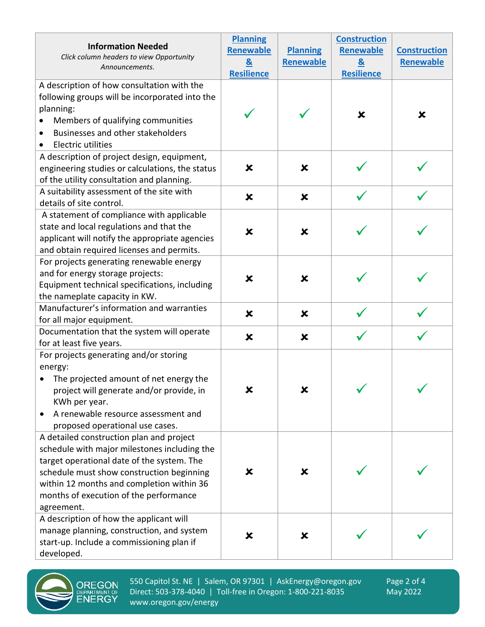| <b>Information Needed</b>                                                                                                                                                                                                                                                      | <b>Planning</b>           |                           | <b>Construction</b> |                     |
|--------------------------------------------------------------------------------------------------------------------------------------------------------------------------------------------------------------------------------------------------------------------------------|---------------------------|---------------------------|---------------------|---------------------|
|                                                                                                                                                                                                                                                                                | <b>Renewable</b>          | <b>Planning</b>           | <b>Renewable</b>    | <b>Construction</b> |
| Click column headers to view Opportunity<br>Announcements.                                                                                                                                                                                                                     | $\underline{8}$           | Renewable                 | $\mathbf{g}$        | Renewable           |
|                                                                                                                                                                                                                                                                                | <b>Resilience</b>         |                           | <b>Resilience</b>   |                     |
| A description of how consultation with the<br>following groups will be incorporated into the<br>planning:<br>Members of qualifying communities<br>Businesses and other stakeholders<br><b>Electric utilities</b>                                                               |                           |                           | ×                   | X                   |
| A description of project design, equipment,<br>engineering studies or calculations, the status<br>of the utility consultation and planning.                                                                                                                                    | ×                         | ×                         |                     |                     |
| A suitability assessment of the site with<br>details of site control.                                                                                                                                                                                                          | $\boldsymbol{\mathsf{x}}$ | $\boldsymbol{\mathsf{x}}$ |                     |                     |
| A statement of compliance with applicable<br>state and local regulations and that the<br>applicant will notify the appropriate agencies<br>and obtain required licenses and permits.                                                                                           | $\boldsymbol{\mathsf{x}}$ | $\boldsymbol{\mathsf{x}}$ |                     |                     |
| For projects generating renewable energy<br>and for energy storage projects:<br>Equipment technical specifications, including<br>the nameplate capacity in KW.                                                                                                                 | $\boldsymbol{\mathsf{x}}$ | $\boldsymbol{\mathsf{x}}$ |                     |                     |
| Manufacturer's information and warranties<br>for all major equipment.                                                                                                                                                                                                          | $\boldsymbol{\mathsf{x}}$ | $\boldsymbol{\mathsf{x}}$ |                     |                     |
| Documentation that the system will operate<br>for at least five years.                                                                                                                                                                                                         | $\boldsymbol{\mathsf{x}}$ | $\boldsymbol{\mathsf{x}}$ |                     |                     |
| For projects generating and/or storing<br>energy:<br>The projected amount of net energy the<br>project will generate and/or provide, in<br>KWh per year.<br>A renewable resource assessment and<br>proposed operational use cases.<br>A detailed construction plan and project | X                         | X                         | ╱                   |                     |
| schedule with major milestones including the<br>target operational date of the system. The<br>schedule must show construction beginning<br>within 12 months and completion within 36<br>months of execution of the performance<br>agreement.                                   | X                         | ×                         |                     |                     |
| A description of how the applicant will<br>manage planning, construction, and system<br>start-up. Include a commissioning plan if<br>developed.                                                                                                                                | ×                         | ×                         |                     |                     |



550 Capitol St. NE | Salem, OR 97301 | AskEnergy@oregon.gov Page 2 of 4<br>Direct: 503-378-4040 | Toll-free in Oregon: 1-800-221-8035 May 2022 Direct: 503-378-4040 | Toll-free in Oregon: 1-800-221-8035 www.oregon.gov/energy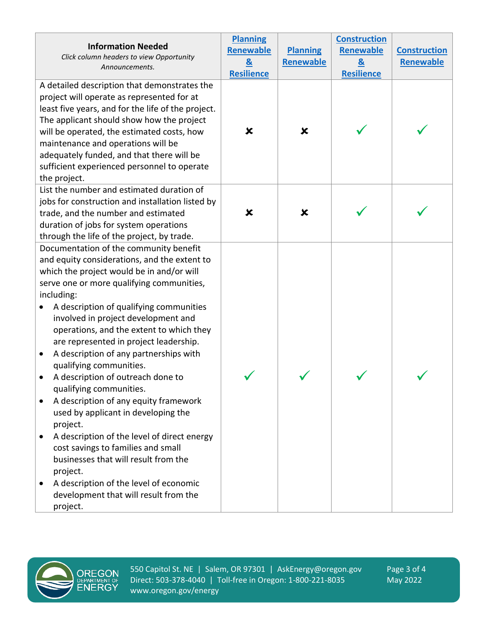| <b>Information Needed</b><br>Click column headers to view Opportunity<br>Announcements.                                                                                                                                                                                                                                                                                                                                                                                                                                                                                                                                                                                                                                                                                                                                                                                                                                                                                                                                                                                                                   | <b>Planning</b><br>Renewable<br>&<br>Resilience | <b>Planning</b><br><b>Renewable</b> | <b>Construction</b><br>Renewable<br>$\mathbf{g}$<br><b>Resilience</b> | <b>Construction</b><br>Renewable |
|-----------------------------------------------------------------------------------------------------------------------------------------------------------------------------------------------------------------------------------------------------------------------------------------------------------------------------------------------------------------------------------------------------------------------------------------------------------------------------------------------------------------------------------------------------------------------------------------------------------------------------------------------------------------------------------------------------------------------------------------------------------------------------------------------------------------------------------------------------------------------------------------------------------------------------------------------------------------------------------------------------------------------------------------------------------------------------------------------------------|-------------------------------------------------|-------------------------------------|-----------------------------------------------------------------------|----------------------------------|
| A detailed description that demonstrates the<br>project will operate as represented for at<br>least five years, and for the life of the project.<br>The applicant should show how the project<br>will be operated, the estimated costs, how<br>maintenance and operations will be<br>adequately funded, and that there will be<br>sufficient experienced personnel to operate<br>the project.                                                                                                                                                                                                                                                                                                                                                                                                                                                                                                                                                                                                                                                                                                             | ×                                               | ×                                   |                                                                       |                                  |
| List the number and estimated duration of<br>jobs for construction and installation listed by<br>trade, and the number and estimated<br>duration of jobs for system operations<br>through the life of the project, by trade.<br>Documentation of the community benefit<br>and equity considerations, and the extent to<br>which the project would be in and/or will<br>serve one or more qualifying communities,<br>including:<br>A description of qualifying communities<br>involved in project development and<br>operations, and the extent to which they<br>are represented in project leadership.<br>A description of any partnerships with<br>$\bullet$<br>qualifying communities.<br>A description of outreach done to<br>qualifying communities.<br>A description of any equity framework<br>used by applicant in developing the<br>project.<br>A description of the level of direct energy<br>cost savings to families and small<br>businesses that will result from the<br>project.<br>A description of the level of economic<br>$\bullet$<br>development that will result from the<br>project. | ×                                               | ×                                   |                                                                       |                                  |



550 Capitol St. NE | Salem, OR 97301 | AskEnergy@oregon.gov Page 3 of 4<br>Direct: 503-378-4040 | Toll-free in Oregon: 1-800-221-8035 May 2022 Direct: 503-378-4040 | Toll-free in Oregon: 1-800-221-8035 www.oregon.gov/energy